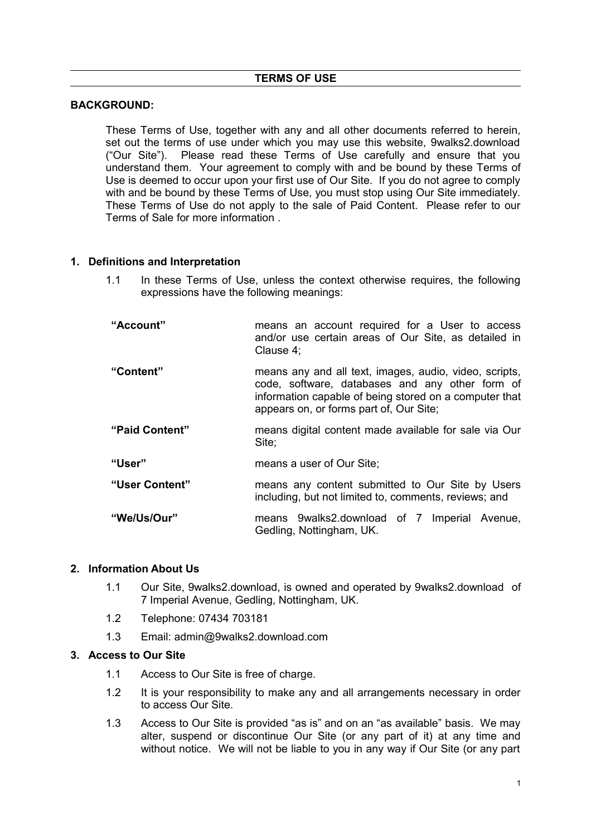### **BACKGROUND:**

These Terms of Use, together with any and all other documents referred to herein, set out the terms of use under which you may use this website, 9walks2.download ("Our Site"). Please read these Terms of Use carefully and ensure that you understand them. Your agreement to comply with and be bound by these Terms of Use is deemed to occur upon your first use of Our Site. If you do not agree to comply with and be bound by these Terms of Use, you must stop using Our Site immediately. These Terms of Use do not apply to the sale of Paid Content. Please refer to our Terms of Sale for more information .

#### **1. Definitions and Interpretation**

- 1.1 In these Terms of Use, unless the context otherwise requires, the following expressions have the following meanings:
- **"Account"** means an account required for a User to access and/or use certain areas of Our Site, as detailed in Clause 4; **"Content"** means any and all text, images, audio, video, scripts, code, software, databases and any other form of information capable of being stored on a computer that appears on, or forms part of, Our Site; **"Paid Content"** means digital content made available for sale via Our Site; **"User"** means a user of Our Site; **"User Content"** means any content submitted to Our Site by Users including, but not limited to, comments, reviews; and **"We/Us/Our"** means 9walks2.download of 7 Imperial Avenue, Gedling, Nottingham, UK.

#### **2. Information About Us**

- 1.1 Our Site, 9walks2.download, is owned and operated by 9walks2.download of 7 Imperial Avenue, Gedling, Nottingham, UK.
- 1.2 Telephone: 07434 703181
- 1.3 Email: admin@9walks2.download.com

### **3. Access to Our Site**

- 1.1 Access to Our Site is free of charge.
- 1.2 It is your responsibility to make any and all arrangements necessary in order to access Our Site.
- 1.3 Access to Our Site is provided "as is" and on an "as available" basis. We may alter, suspend or discontinue Our Site (or any part of it) at any time and without notice. We will not be liable to you in any way if Our Site (or any part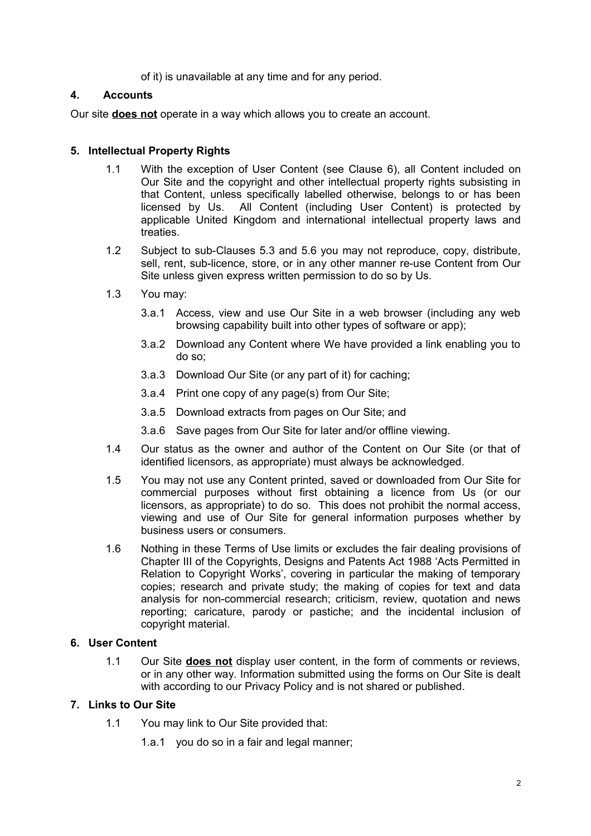of it) is unavailable at any time and for any period.

# **4. Accounts**

Our site **does not** operate in a way which allows you to create an account.

# **5. Intellectual Property Rights**

- 1.1 With the exception of User Content (see Clause 6), all Content included on Our Site and the copyright and other intellectual property rights subsisting in that Content, unless specifically labelled otherwise, belongs to or has been licensed by Us. All Content (including User Content) is protected by applicable United Kingdom and international intellectual property laws and treaties.
- 1.2 Subject to sub-Clauses 5.3 and 5.6 you may not reproduce, copy, distribute, sell, rent, sub-licence, store, or in any other manner re-use Content from Our Site unless given express written permission to do so by Us.
- 1.3 You may:
	- 3.a.1 Access, view and use Our Site in a web browser (including any web browsing capability built into other types of software or app);
	- 3.a.2 Download any Content where We have provided a link enabling you to do so;
	- 3.a.3 Download Our Site (or any part of it) for caching;
	- 3.a.4 Print one copy of any page(s) from Our Site;
	- 3.a.5 Download extracts from pages on Our Site; and
	- 3.a.6 Save pages from Our Site for later and/or offline viewing.
- 1.4 Our status as the owner and author of the Content on Our Site (or that of identified licensors, as appropriate) must always be acknowledged.
- 1.5 You may not use any Content printed, saved or downloaded from Our Site for commercial purposes without first obtaining a licence from Us (or our licensors, as appropriate) to do so. This does not prohibit the normal access, viewing and use of Our Site for general information purposes whether by business users or consumers.
- 1.6 Nothing in these Terms of Use limits or excludes the fair dealing provisions of Chapter III of the Copyrights, Designs and Patents Act 1988 'Acts Permitted in Relation to Copyright Works', covering in particular the making of temporary copies; research and private study; the making of copies for text and data analysis for non-commercial research; criticism, review, quotation and news reporting; caricature, parody or pastiche; and the incidental inclusion of copyright material.

## **6. User Content**

1.1 Our Site **does not** display user content, in the form of comments or reviews, or in any other way. Information submitted using the forms on Our Site is dealt with according to our Privacy Policy and is not shared or published.

## **7. Links to Our Site**

- 1.1 You may link to Our Site provided that:
	- 1.a.1 you do so in a fair and legal manner;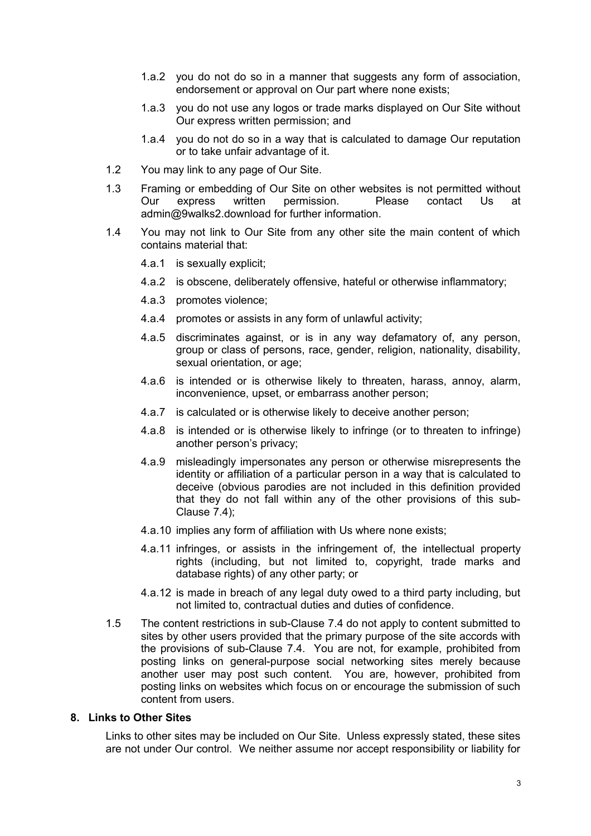- 1.a.2 you do not do so in a manner that suggests any form of association, endorsement or approval on Our part where none exists;
- 1.a.3 you do not use any logos or trade marks displayed on Our Site without Our express written permission; and
- 1.a.4 you do not do so in a way that is calculated to damage Our reputation or to take unfair advantage of it.
- 1.2 You may link to any page of Our Site.
- 1.3 Framing or embedding of Our Site on other websites is not permitted without Our express written permission. Please contact Us at admin@9walks2.download for further information.
- 1.4 You may not link to Our Site from any other site the main content of which contains material that:
	- 4.a.1 is sexually explicit;
	- 4.a.2 is obscene, deliberately offensive, hateful or otherwise inflammatory;
	- 4.a.3 promotes violence;
	- 4.a.4 promotes or assists in any form of unlawful activity;
	- 4.a.5 discriminates against, or is in any way defamatory of, any person, group or class of persons, race, gender, religion, nationality, disability, sexual orientation, or age;
	- 4.a.6 is intended or is otherwise likely to threaten, harass, annoy, alarm, inconvenience, upset, or embarrass another person;
	- 4.a.7 is calculated or is otherwise likely to deceive another person;
	- 4.a.8 is intended or is otherwise likely to infringe (or to threaten to infringe) another person's privacy;
	- 4.a.9 misleadingly impersonates any person or otherwise misrepresents the identity or affiliation of a particular person in a way that is calculated to deceive (obvious parodies are not included in this definition provided that they do not fall within any of the other provisions of this sub-Clause 7.4);
	- 4.a.10 implies any form of affiliation with Us where none exists;
	- 4.a.11 infringes, or assists in the infringement of, the intellectual property rights (including, but not limited to, copyright, trade marks and database rights) of any other party; or
	- 4.a.12 is made in breach of any legal duty owed to a third party including, but not limited to, contractual duties and duties of confidence.
- 1.5 The content restrictions in sub-Clause 7.4 do not apply to content submitted to sites by other users provided that the primary purpose of the site accords with the provisions of sub-Clause 7.4. You are not, for example, prohibited from posting links on general-purpose social networking sites merely because another user may post such content. You are, however, prohibited from posting links on websites which focus on or encourage the submission of such content from users.

## **8. Links to Other Sites**

Links to other sites may be included on Our Site. Unless expressly stated, these sites are not under Our control. We neither assume nor accept responsibility or liability for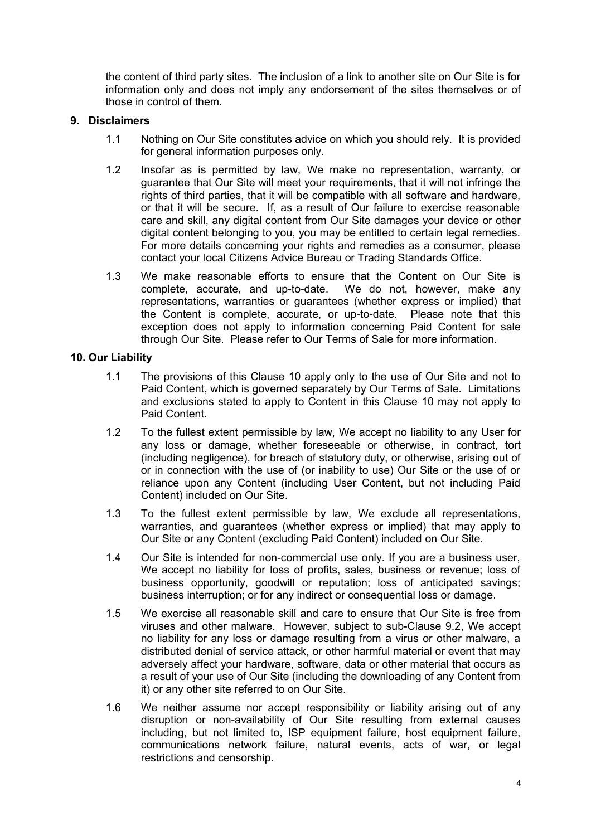the content of third party sites. The inclusion of a link to another site on Our Site is for information only and does not imply any endorsement of the sites themselves or of those in control of them.

### **9. Disclaimers**

- 1.1 Nothing on Our Site constitutes advice on which you should rely. It is provided for general information purposes only.
- 1.2 Insofar as is permitted by law, We make no representation, warranty, or guarantee that Our Site will meet your requirements, that it will not infringe the rights of third parties, that it will be compatible with all software and hardware, or that it will be secure. If, as a result of Our failure to exercise reasonable care and skill, any digital content from Our Site damages your device or other digital content belonging to you, you may be entitled to certain legal remedies. For more details concerning your rights and remedies as a consumer, please contact your local Citizens Advice Bureau or Trading Standards Office.
- 1.3 We make reasonable efforts to ensure that the Content on Our Site is complete, accurate, and up-to-date. We do not, however, make any representations, warranties or guarantees (whether express or implied) that the Content is complete, accurate, or up-to-date. Please note that this exception does not apply to information concerning Paid Content for sale through Our Site. Please refer to Our Terms of Sale for more information.

### **10. Our Liability**

- 1.1 The provisions of this Clause 10 apply only to the use of Our Site and not to Paid Content, which is governed separately by Our Terms of Sale. Limitations and exclusions stated to apply to Content in this Clause 10 may not apply to Paid Content.
- 1.2 To the fullest extent permissible by law, We accept no liability to any User for any loss or damage, whether foreseeable or otherwise, in contract, tort (including negligence), for breach of statutory duty, or otherwise, arising out of or in connection with the use of (or inability to use) Our Site or the use of or reliance upon any Content (including User Content, but not including Paid Content) included on Our Site.
- 1.3 To the fullest extent permissible by law, We exclude all representations, warranties, and guarantees (whether express or implied) that may apply to Our Site or any Content (excluding Paid Content) included on Our Site.
- 1.4 Our Site is intended for non-commercial use only. If you are a business user, We accept no liability for loss of profits, sales, business or revenue; loss of business opportunity, goodwill or reputation; loss of anticipated savings; business interruption; or for any indirect or consequential loss or damage.
- 1.5 We exercise all reasonable skill and care to ensure that Our Site is free from viruses and other malware. However, subject to sub-Clause 9.2, We accept no liability for any loss or damage resulting from a virus or other malware, a distributed denial of service attack, or other harmful material or event that may adversely affect your hardware, software, data or other material that occurs as a result of your use of Our Site (including the downloading of any Content from it) or any other site referred to on Our Site.
- 1.6 We neither assume nor accept responsibility or liability arising out of any disruption or non-availability of Our Site resulting from external causes including, but not limited to, ISP equipment failure, host equipment failure, communications network failure, natural events, acts of war, or legal restrictions and censorship.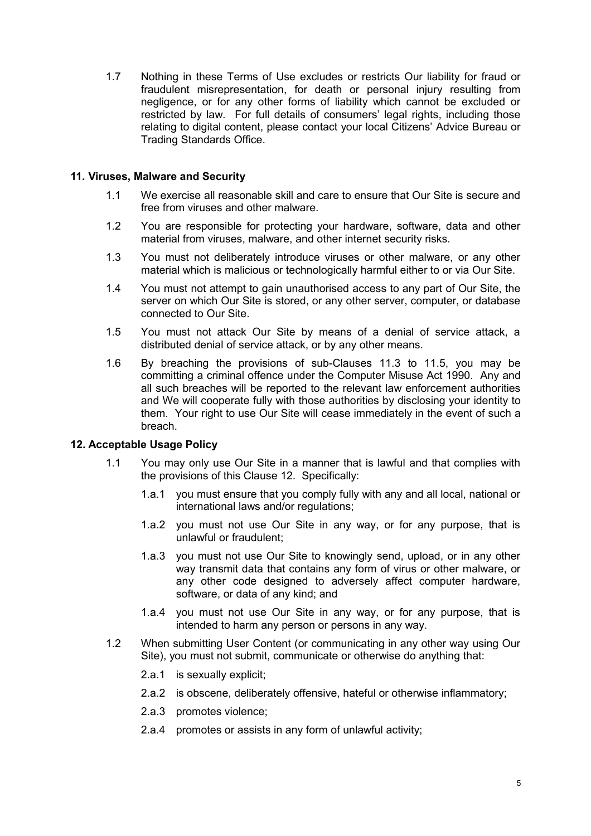1.7 Nothing in these Terms of Use excludes or restricts Our liability for fraud or fraudulent misrepresentation, for death or personal injury resulting from negligence, or for any other forms of liability which cannot be excluded or restricted by law. For full details of consumers' legal rights, including those relating to digital content, please contact your local Citizens' Advice Bureau or Trading Standards Office.

## **11. Viruses, Malware and Security**

- 1.1 We exercise all reasonable skill and care to ensure that Our Site is secure and free from viruses and other malware.
- 1.2 You are responsible for protecting your hardware, software, data and other material from viruses, malware, and other internet security risks.
- 1.3 You must not deliberately introduce viruses or other malware, or any other material which is malicious or technologically harmful either to or via Our Site.
- 1.4 You must not attempt to gain unauthorised access to any part of Our Site, the server on which Our Site is stored, or any other server, computer, or database connected to Our Site.
- 1.5 You must not attack Our Site by means of a denial of service attack, a distributed denial of service attack, or by any other means.
- 1.6 By breaching the provisions of sub-Clauses 11.3 to 11.5, you may be committing a criminal offence under the Computer Misuse Act 1990. Any and all such breaches will be reported to the relevant law enforcement authorities and We will cooperate fully with those authorities by disclosing your identity to them. Your right to use Our Site will cease immediately in the event of such a breach.

## **12. Acceptable Usage Policy**

- 1.1 You may only use Our Site in a manner that is lawful and that complies with the provisions of this Clause 12. Specifically:
	- 1.a.1 you must ensure that you comply fully with any and all local, national or international laws and/or regulations;
	- 1.a.2 you must not use Our Site in any way, or for any purpose, that is unlawful or fraudulent;
	- 1.a.3 you must not use Our Site to knowingly send, upload, or in any other way transmit data that contains any form of virus or other malware, or any other code designed to adversely affect computer hardware, software, or data of any kind; and
	- 1.a.4 you must not use Our Site in any way, or for any purpose, that is intended to harm any person or persons in any way.
- 1.2 When submitting User Content (or communicating in any other way using Our Site), you must not submit, communicate or otherwise do anything that:
	- 2.a.1 is sexually explicit;
	- 2.a.2 is obscene, deliberately offensive, hateful or otherwise inflammatory;
	- 2.a.3 promotes violence;
	- 2.a.4 promotes or assists in any form of unlawful activity;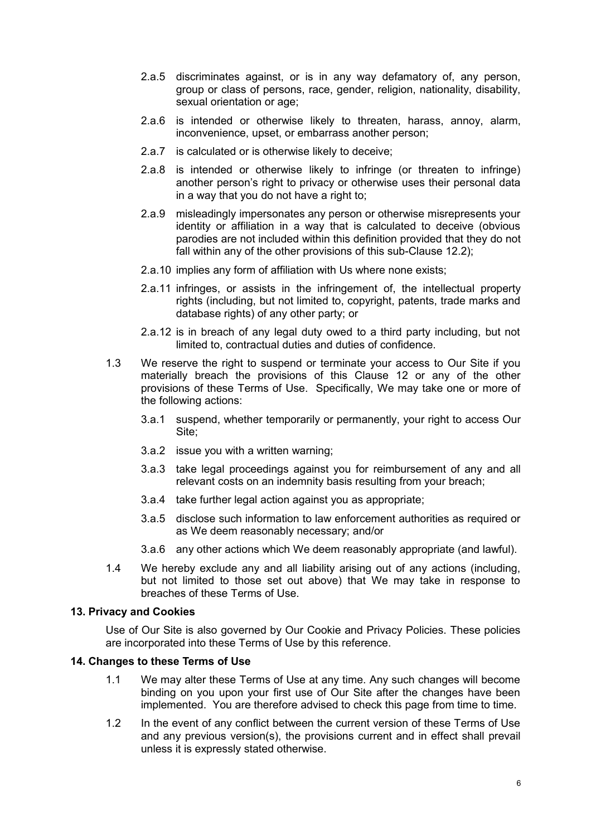- 2.a.5 discriminates against, or is in any way defamatory of, any person, group or class of persons, race, gender, religion, nationality, disability, sexual orientation or age;
- 2.a.6 is intended or otherwise likely to threaten, harass, annoy, alarm, inconvenience, upset, or embarrass another person;
- 2.a.7 is calculated or is otherwise likely to deceive;
- 2.a.8 is intended or otherwise likely to infringe (or threaten to infringe) another person's right to privacy or otherwise uses their personal data in a way that you do not have a right to;
- 2.a.9 misleadingly impersonates any person or otherwise misrepresents your identity or affiliation in a way that is calculated to deceive (obvious parodies are not included within this definition provided that they do not fall within any of the other provisions of this sub-Clause 12.2);
- 2.a.10 implies any form of affiliation with Us where none exists;
- 2.a.11 infringes, or assists in the infringement of, the intellectual property rights (including, but not limited to, copyright, patents, trade marks and database rights) of any other party; or
- 2.a.12 is in breach of any legal duty owed to a third party including, but not limited to, contractual duties and duties of confidence.
- 1.3 We reserve the right to suspend or terminate your access to Our Site if you materially breach the provisions of this Clause 12 or any of the other provisions of these Terms of Use. Specifically, We may take one or more of the following actions:
	- 3.a.1 suspend, whether temporarily or permanently, your right to access Our Site;
	- 3.a.2 issue you with a written warning;
	- 3.a.3 take legal proceedings against you for reimbursement of any and all relevant costs on an indemnity basis resulting from your breach;
	- 3.a.4 take further legal action against you as appropriate;
	- 3.a.5 disclose such information to law enforcement authorities as required or as We deem reasonably necessary; and/or
	- 3.a.6 any other actions which We deem reasonably appropriate (and lawful).
- 1.4 We hereby exclude any and all liability arising out of any actions (including, but not limited to those set out above) that We may take in response to breaches of these Terms of Use.

## **13. Privacy and Cookies**

Use of Our Site is also governed by Our Cookie and Privacy Policies. These policies are incorporated into these Terms of Use by this reference.

## **14. Changes to these Terms of Use**

- 1.1 We may alter these Terms of Use at any time. Any such changes will become binding on you upon your first use of Our Site after the changes have been implemented. You are therefore advised to check this page from time to time.
- 1.2 In the event of any conflict between the current version of these Terms of Use and any previous version(s), the provisions current and in effect shall prevail unless it is expressly stated otherwise.